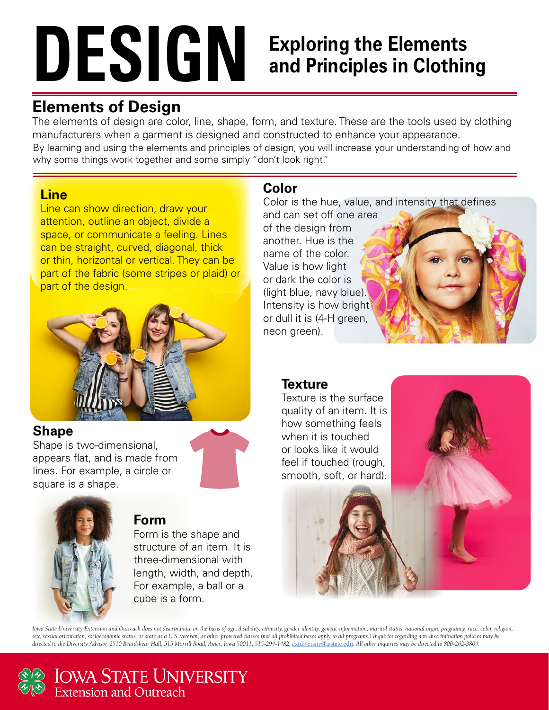# **DESIGN**

## **Exploring the Elements and Principles in Clothing**

## **Elements of Design**

The elements of design are color, line, shape, form, and texture. These are the tools used by clothing manufacturers when a garment is designed and constructed to enhance your appearance.

By learning and using the elements and principles of design, you will increase your understanding of how and why some things work together and some simply "don't look right."

#### **Line**

Line can show direction, draw your attention, outline an object, divide a space, or communicate a feeling. Lines can be straight, curved, diagonal, thick or thin, horizontal or vertical. They can be part of the fabric (some stripes or plaid) or part of the design.



#### **Shape**

Shape is two-dimensional, appears flat, and is made from lines. For example, a circle or square is a shape.



#### **Form**

Form is the shape and structure of an item. It is three-dimensional with length, width, and depth. For example, a ball or a cube is a form.

### **Color**

Color is the hue, value, and intensity that defines and can set off one area of the design from another. Hue is the name of the color. Value is how light or dark the color is (light blue, navy blue). Intensity is how bright or dull it is (4-H green, neon green).

#### **Texture**

Texture is the surface quality of an item. It is how something feels when it is touched or looks like it would feel if touched (rough, smooth, soft, or hard).